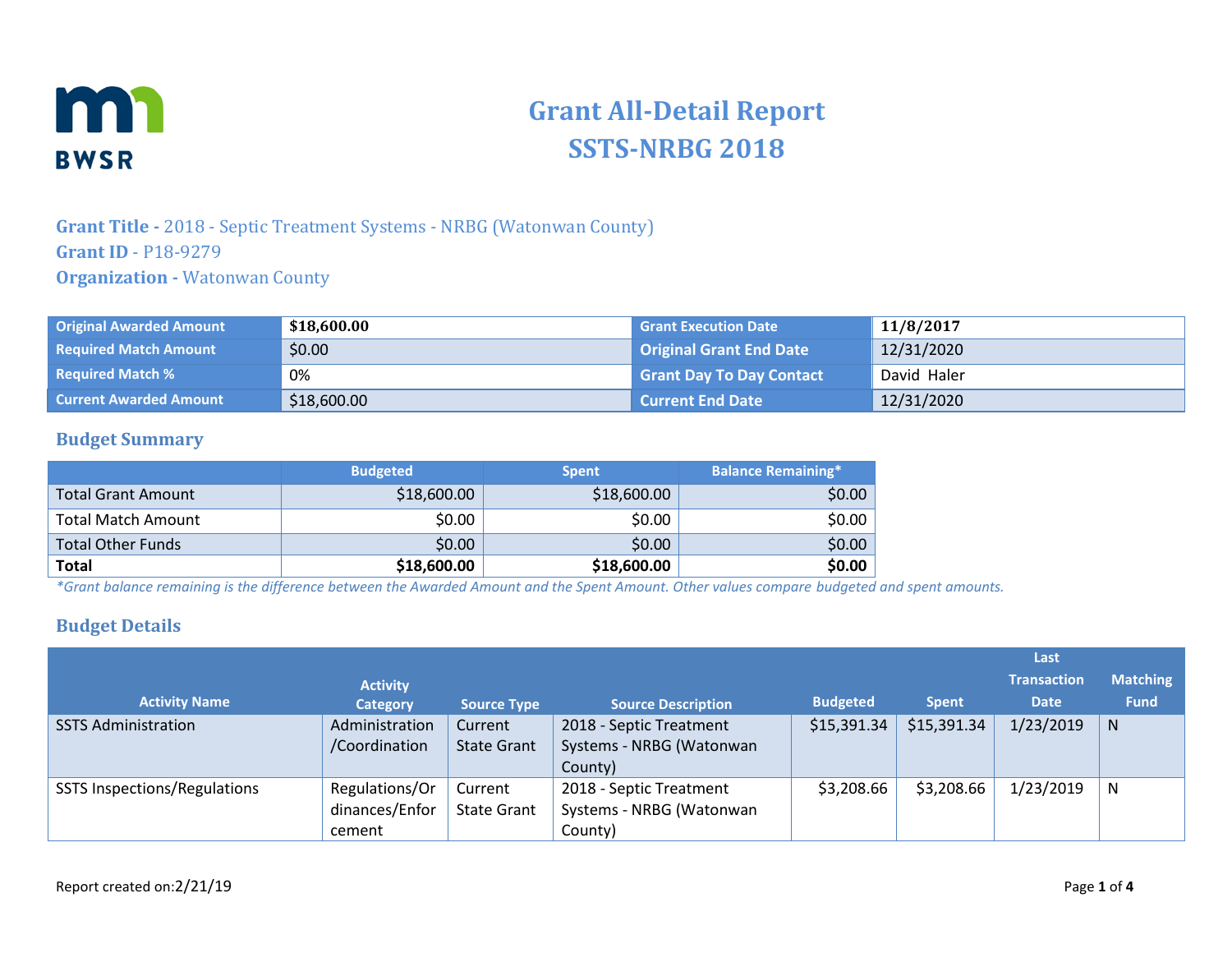

# **Grant All-Detail Report SSTS-NRBG 2018**

### **Grant Title -** 2018 - Septic Treatment Systems - NRBG (Watonwan County) **Grant ID** - P18-9279 **Organization -** Watonwan County

| <b>Original Awarded Amount</b> | \$18,600.00 | <b>Grant Execution Date</b>     | 11/8/2017   |
|--------------------------------|-------------|---------------------------------|-------------|
| <b>Required Match Amount</b>   | \$0.00      | Original Grant End Date         | 12/31/2020  |
| <b>Required Match %</b>        | 0%          | <b>Grant Day To Day Contact</b> | David Haler |
| <b>Current Awarded Amount</b>  | \$18,600.00 | <b>Current End Date</b>         | 12/31/2020  |

#### **Budget Summary**

|                           | <b>Budgeted</b> | <b>Spent</b> | <b>Balance Remaining*</b> |
|---------------------------|-----------------|--------------|---------------------------|
| <b>Total Grant Amount</b> | \$18,600.00     | \$18,600.00  | \$0.00                    |
| <b>Total Match Amount</b> | \$0.00          | \$0.00       | \$0.00                    |
| <b>Total Other Funds</b>  | \$0.00          | \$0.00       | \$0.00                    |
| <b>Total</b>              | \$18,600.00     | \$18,600.00  | \$0.00                    |

*\*Grant balance remaining is the difference between the Awarded Amount and the Spent Amount. Other values compare budgeted and spent amounts.*

#### **Budget Details**

|                                     |                 |                    |                           |                 |              | Last               |                 |
|-------------------------------------|-----------------|--------------------|---------------------------|-----------------|--------------|--------------------|-----------------|
|                                     | <b>Activity</b> |                    |                           |                 |              | <b>Transaction</b> | <b>Matching</b> |
| <b>Activity Name</b>                | <b>Category</b> | <b>Source Type</b> | <b>Source Description</b> | <b>Budgeted</b> | <b>Spent</b> | <b>Date</b>        | <b>Fund</b>     |
| <b>SSTS Administration</b>          | Administration  | Current            | 2018 - Septic Treatment   | \$15,391.34     | \$15,391.34  | 1/23/2019          | N.              |
|                                     | /Coordination   | <b>State Grant</b> | Systems - NRBG (Watonwan  |                 |              |                    |                 |
|                                     |                 |                    | County)                   |                 |              |                    |                 |
| <b>SSTS Inspections/Regulations</b> | Regulations/Or  | Current            | 2018 - Septic Treatment   | \$3,208.66      | \$3,208.66   | 1/23/2019          | N               |
|                                     | dinances/Enfor  | <b>State Grant</b> | Systems - NRBG (Watonwan  |                 |              |                    |                 |
|                                     | cement          |                    | County)                   |                 |              |                    |                 |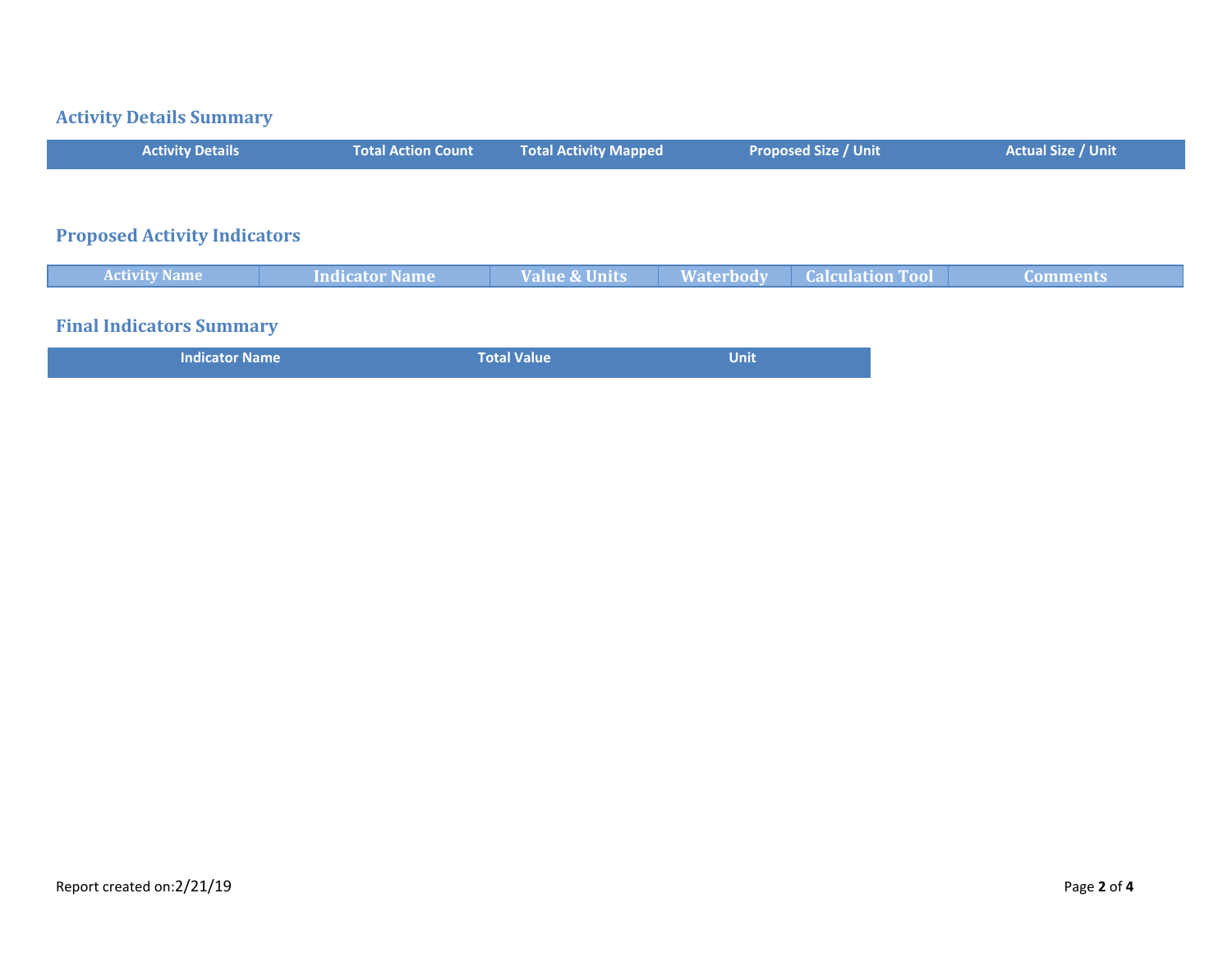#### **Activity Details Summary**

| <b>Activity Details</b>             | <b>Total Action Count</b> | <b>Total Activity Mapped</b> | <b>Proposed Size / Unit</b> | <b>Actual Size / Unit</b> |
|-------------------------------------|---------------------------|------------------------------|-----------------------------|---------------------------|
|                                     |                           |                              |                             |                           |
|                                     |                           |                              |                             |                           |
| <b>Proposed Activity Indicators</b> |                           |                              |                             |                           |

# **Activity Name Indicator Name Value & Units Waterbody Calculation Tool Comments Final Indicators Summary Indicator Name Total Value Total Value Total Value Unit**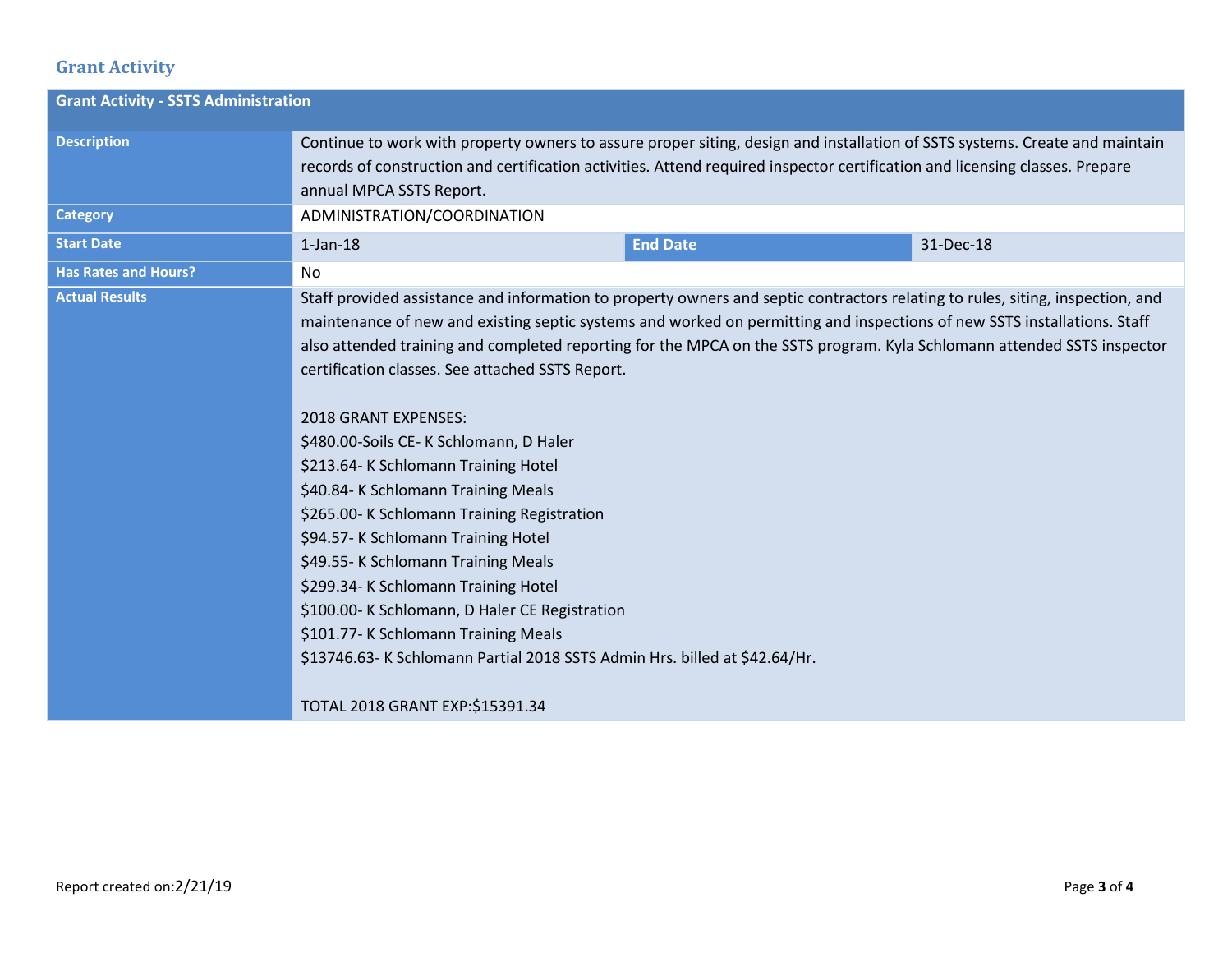## **Grant Activity**

| <b>Grant Activity - SSTS Administration</b> |                                                                                                                                                                                                                                                                                                                                                                                                                                                                                                                                                                                                                                                                                                                                                                                                                                                                                                                                                                    |                 |           |  |
|---------------------------------------------|--------------------------------------------------------------------------------------------------------------------------------------------------------------------------------------------------------------------------------------------------------------------------------------------------------------------------------------------------------------------------------------------------------------------------------------------------------------------------------------------------------------------------------------------------------------------------------------------------------------------------------------------------------------------------------------------------------------------------------------------------------------------------------------------------------------------------------------------------------------------------------------------------------------------------------------------------------------------|-----------------|-----------|--|
| <b>Description</b>                          | Continue to work with property owners to assure proper siting, design and installation of SSTS systems. Create and maintain<br>records of construction and certification activities. Attend required inspector certification and licensing classes. Prepare<br>annual MPCA SSTS Report.                                                                                                                                                                                                                                                                                                                                                                                                                                                                                                                                                                                                                                                                            |                 |           |  |
| <b>Category</b>                             | ADMINISTRATION/COORDINATION                                                                                                                                                                                                                                                                                                                                                                                                                                                                                                                                                                                                                                                                                                                                                                                                                                                                                                                                        |                 |           |  |
| <b>Start Date</b>                           | $1$ -Jan- $18$                                                                                                                                                                                                                                                                                                                                                                                                                                                                                                                                                                                                                                                                                                                                                                                                                                                                                                                                                     | <b>End Date</b> | 31-Dec-18 |  |
| <b>Has Rates and Hours?</b>                 | No                                                                                                                                                                                                                                                                                                                                                                                                                                                                                                                                                                                                                                                                                                                                                                                                                                                                                                                                                                 |                 |           |  |
| <b>Actual Results</b>                       | Staff provided assistance and information to property owners and septic contractors relating to rules, siting, inspection, and<br>maintenance of new and existing septic systems and worked on permitting and inspections of new SSTS installations. Staff<br>also attended training and completed reporting for the MPCA on the SSTS program. Kyla Schlomann attended SSTS inspector<br>certification classes. See attached SSTS Report.<br>2018 GRANT EXPENSES:<br>\$480.00-Soils CE-K Schlomann, D Haler<br>\$213.64-K Schlomann Training Hotel<br>\$40.84- K Schlomann Training Meals<br>\$265.00-K Schlomann Training Registration<br>\$94.57-K Schlomann Training Hotel<br>\$49.55-K Schlomann Training Meals<br>\$299.34-K Schlomann Training Hotel<br>\$100.00-K Schlomann, D Haler CE Registration<br>\$101.77-K Schlomann Training Meals<br>\$13746.63-K Schlomann Partial 2018 SSTS Admin Hrs. billed at \$42.64/Hr.<br>TOTAL 2018 GRANT EXP:\$15391.34 |                 |           |  |